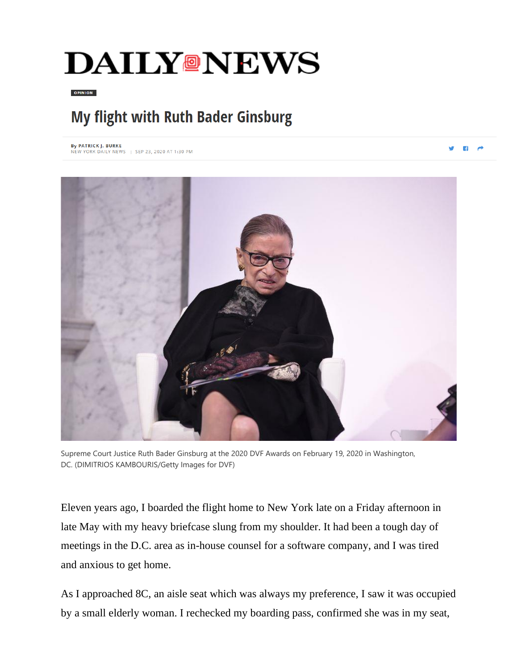## **DAILY@NEWS**

**OPINION** 

## My flight with Ruth Bader Ginsburg

By PATRICK J. BURKE NEW YORK DAILY NEWS | SEP 23, 2020 AT 1:30 PM

VBA



Supreme Court Justice Ruth Bader Ginsburg at the 2020 DVF Awards on February 19, 2020 in Washington, DC. (DIMITRIOS KAMBOURIS/Getty Images for DVF)

Eleven years ago, I boarded the flight home to New York late on a Friday afternoon in late May with my heavy briefcase slung from my shoulder. It had been a tough day of meetings in the D.C. area as in-house counsel for a software company, and I was tired and anxious to get home.

As I approached 8C, an aisle seat which was always my preference, I saw it was occupied by a small elderly woman. I rechecked my boarding pass, confirmed she was in my seat,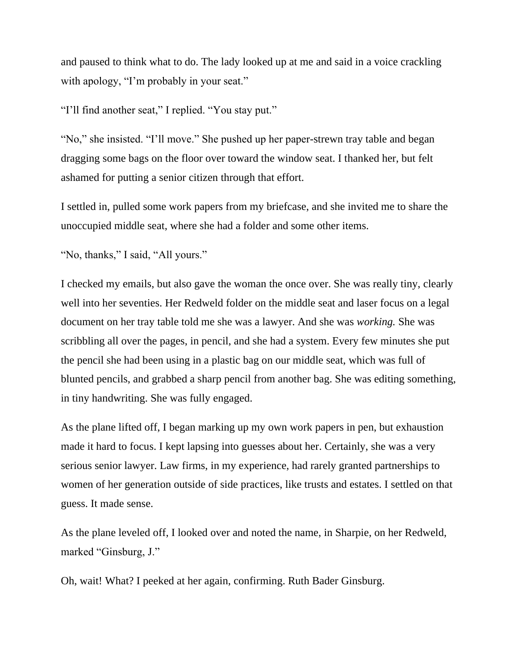and paused to think what to do. The lady looked up at me and said in a voice crackling with apology, "I'm probably in your seat."

"I'll find another seat," I replied. "You stay put."

"No," she insisted. "I'll move." She pushed up her paper-strewn tray table and began dragging some bags on the floor over toward the window seat. I thanked her, but felt ashamed for putting a senior citizen through that effort.

I settled in, pulled some work papers from my briefcase, and she invited me to share the unoccupied middle seat, where she had a folder and some other items.

"No, thanks," I said, "All yours."

I checked my emails, but also gave the woman the once over. She was really tiny, clearly well into her seventies. Her Redweld folder on the middle seat and laser focus on a legal document on her tray table told me she was a lawyer. And she was *working.* She was scribbling all over the pages, in pencil, and she had a system. Every few minutes she put the pencil she had been using in a plastic bag on our middle seat, which was full of blunted pencils, and grabbed a sharp pencil from another bag. She was editing something, in tiny handwriting. She was fully engaged.

As the plane lifted off, I began marking up my own work papers in pen, but exhaustion made it hard to focus. I kept lapsing into guesses about her. Certainly, she was a very serious senior lawyer. Law firms, in my experience, had rarely granted partnerships to women of her generation outside of side practices, like trusts and estates. I settled on that guess. It made sense.

As the plane leveled off, I looked over and noted the name, in Sharpie, on her Redweld, marked "Ginsburg, J."

Oh, wait! What? I peeked at her again, confirming. Ruth Bader Ginsburg.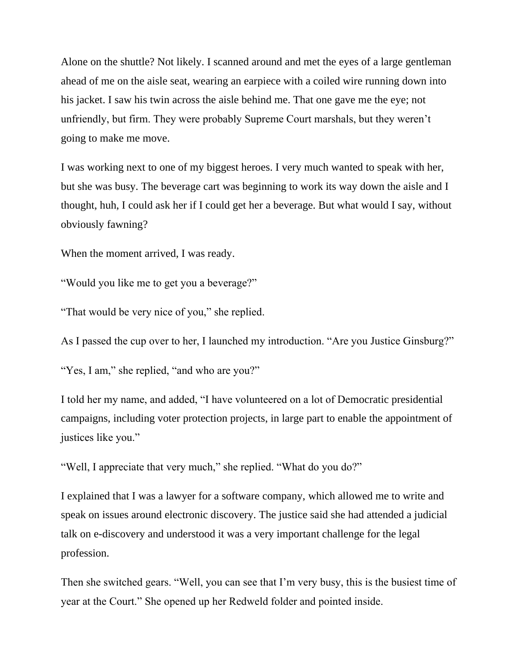Alone on the shuttle? Not likely. I scanned around and met the eyes of a large gentleman ahead of me on the aisle seat, wearing an earpiece with a coiled wire running down into his jacket. I saw his twin across the aisle behind me. That one gave me the eye; not unfriendly, but firm. They were probably Supreme Court marshals, but they weren't going to make me move.

I was working next to one of my biggest heroes. I very much wanted to speak with her, but she was busy. The beverage cart was beginning to work its way down the aisle and I thought, huh, I could ask her if I could get her a beverage. But what would I say, without obviously fawning?

When the moment arrived, I was ready.

"Would you like me to get you a beverage?"

"That would be very nice of you," she replied.

As I passed the cup over to her, I launched my introduction. "Are you Justice Ginsburg?"

"Yes, I am," she replied, "and who are you?"

I told her my name, and added, "I have volunteered on a lot of Democratic presidential campaigns, including voter protection projects, in large part to enable the appointment of justices like you."

"Well, I appreciate that very much," she replied. "What do you do?"

I explained that I was a lawyer for a software company, which allowed me to write and speak on issues around electronic discovery. The justice said she had attended a judicial talk on e-discovery and understood it was a very important challenge for the legal profession.

Then she switched gears. "Well, you can see that I'm very busy, this is the busiest time of year at the Court." She opened up her Redweld folder and pointed inside.